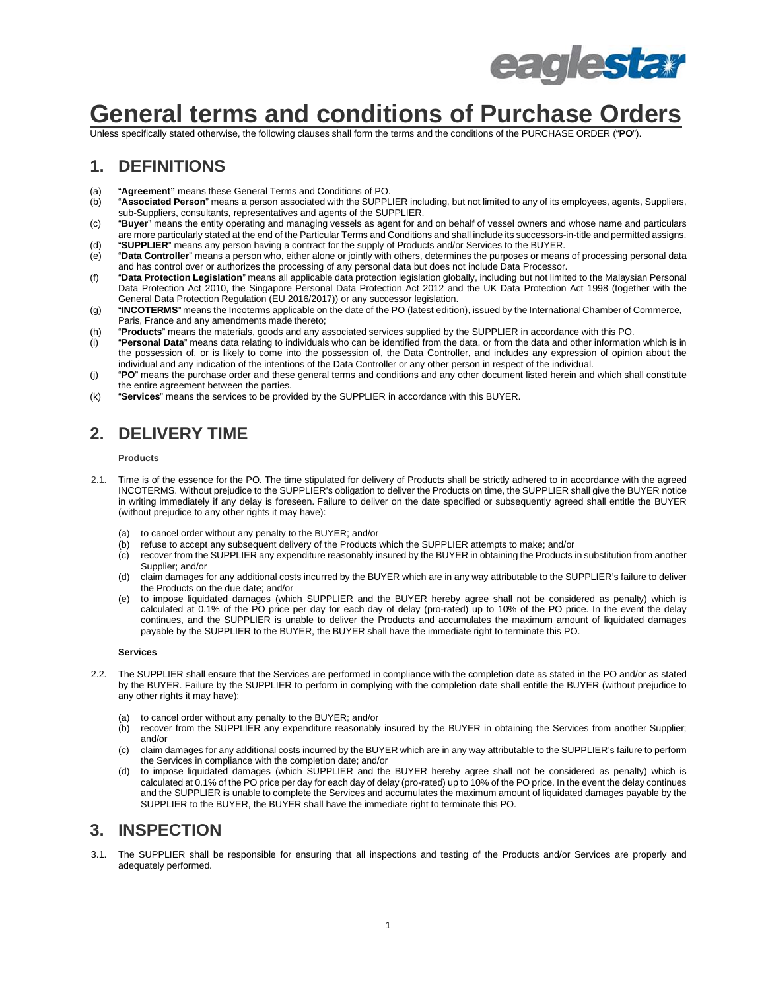

# **General terms and conditions of Purchase Orders**

Unless specifically stated otherwise, the following clauses shall form the terms and the conditions of the PURCHASE ORDER ("**PO**").

#### **1. DEFINITIONS**

- (a) "**Agreement"** means these General Terms and Conditions of PO.
- "Associated Person" means a person associated with the SUPPLIER including, but not limited to any of its employees, agents, Suppliers, sub-Suppliers, consultants, representatives and agents of the SUPPLIER.
- (c) "**Buyer**" means the entity operating and managing vessels as agent for and on behalf of vessel owners and whose name and particulars are more particularly stated at the end of the Particular Terms and Conditions and shall include its successors-in-title and permitted assigns. (d) "**SUPPLIER**" means any person having a contract for the supply of Products and/or Services to the BUYER.
- (e) "**Data Controller**" means a person who, either alone or jointly with others, determines the purposes or means of processing personal data and has control over or authorizes the processing of any personal data but does not include Data Processor.
- (f) "**Data Protection Legislation**" means all applicable data protection legislation globally, including but not limited to the Malaysian Personal Data Protection Act 2010, the Singapore Personal Data Protection Act 2012 and the UK Data Protection Act 1998 (together with the General Data Protection Regulation (EU 2016/2017)) or any successor legislation.
- (g) "**INCOTERMS**" means the Incoterms applicable on the date of the PO (latest edition), issued by the International Chamber of Commerce, Paris, France and any amendments made thereto;
- (h) "**Products**" means the materials, goods and any associated services supplied by the SUPPLIER in accordance with this PO.
- (i) "**Personal Data**" means data relating to individuals who can be identified from the data, or from the data and other information which is in the possession of, or is likely to come into the possession of, the Data Controller, and includes any expression of opinion about the individual and any indication of the intentions of the Data Controller or any other person in respect of the individual.
- (j) "**PO**" means the purchase order and these general terms and conditions and any other document listed herein and which shall constitute the entire agreement between the parties.
- (k) "**Services**" means the services to be provided by the SUPPLIER in accordance with this BUYER.

#### **2. DELIVERY TIME**

#### **Products**

- 2.1. Time is of the essence for the PO. The time stipulated for delivery of Products shall be strictly adhered to in accordance with the agreed INCOTERMS. Without prejudice to the SUPPLIER's obligation to deliver the Products on time, the SUPPLIER shall give the BUYER notice in writing immediately if any delay is foreseen. Failure to deliver on the date specified or subsequently agreed shall entitle the BUYER (without prejudice to any other rights it may have):
	- (a) to cancel order without any penalty to the BUYER; and/or
	- (b) refuse to accept any subsequent delivery of the Products which the SUPPLIER attempts to make; and/or<br>(c) recover from the SUPPLIER any expenditure reasonably insured by the BUYER in obtaining the Products i
	- recover from the SUPPLIER any expenditure reasonably insured by the BUYER in obtaining the Products in substitution from another Supplier; and/or
	- (d) claim damages for any additional costs incurred by the BUYER which are in any way attributable to the SUPPLIER's failure to deliver the Products on the due date; and/or
	- (e) to impose liquidated damages (which SUPPLIER and the BUYER hereby agree shall not be considered as penalty) which is calculated at 0.1% of the PO price per day for each day of delay (pro-rated) up to 10% of the PO price. In the event the delay continues, and the SUPPLIER is unable to deliver the Products and accumulates the maximum amount of liquidated damages payable by the SUPPLIER to the BUYER, the BUYER shall have the immediate right to terminate this PO.

#### **Services**

- 2.2. The SUPPLIER shall ensure that the Services are performed in compliance with the completion date as stated in the PO and/or as stated by the BUYER. Failure by the SUPPLIER to perform in complying with the completion date shall entitle the BUYER (without prejudice to any other rights it may have):
	- (a) to cancel order without any penalty to the BUYER; and/or
	- (b) recover from the SUPPLIER any expenditure reasonably insured by the BUYER in obtaining the Services from another Supplier; and/or
	- (c) claim damages for any additional costs incurred by the BUYER which are in any way attributable to the SUPPLIER's failure to perform the Services in compliance with the completion date; and/or
	- (d) to impose liquidated damages (which SUPPLIER and the BUYER hereby agree shall not be considered as penalty) which is calculated at 0.1% of the PO price per day for each day of delay (pro-rated) up to 10% of the PO price. In the event the delay continues and the SUPPLIER is unable to complete the Services and accumulates the maximum amount of liquidated damages payable by the SUPPLIER to the BUYER, the BUYER shall have the immediate right to terminate this PO.

#### **3. INSPECTION**

3.1. The SUPPLIER shall be responsible for ensuring that all inspections and testing of the Products and/or Services are properly and adequately performed.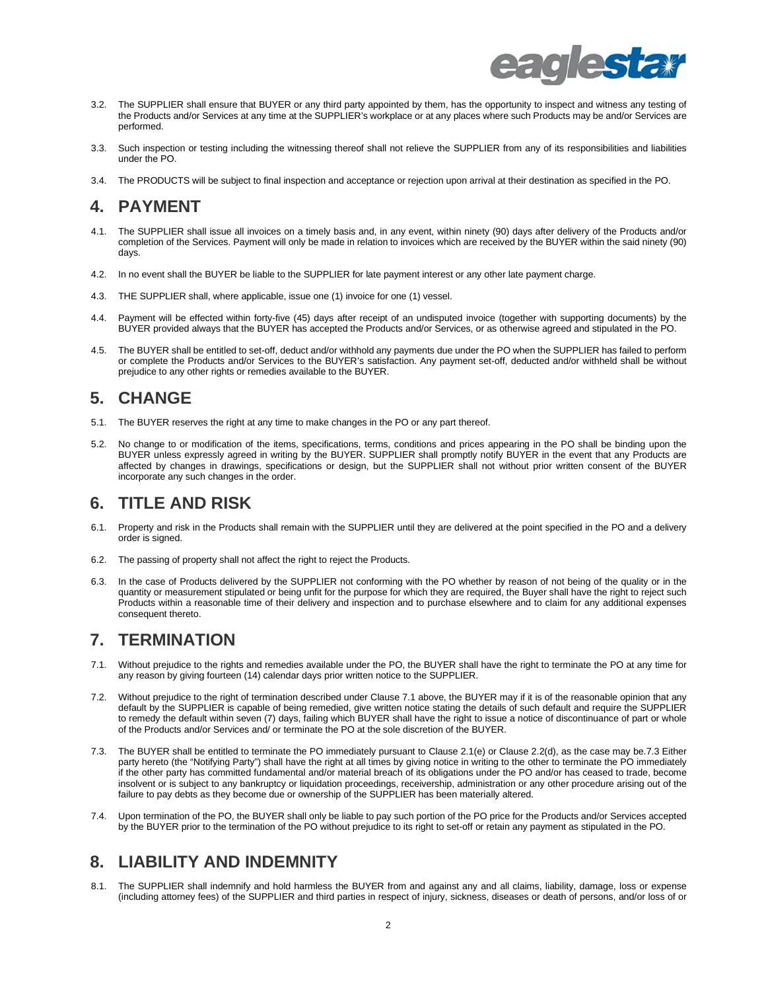

- 3.2. The SUPPLIER shall ensure that BUYER or any third party appointed by them, has the opportunity to inspect and witness any testing of the Products and/or Services at any time at the SUPPLIER's workplace or at any places where such Products may be and/or Services are performed.
- 3.3. Such inspection or testing including the witnessing thereof shall not relieve the SUPPLIER from any of its responsibilities and liabilities under the PO.
- 3.4. The PRODUCTS will be subject to final inspection and acceptance or rejection upon arrival at their destination as specified in the PO.

### **4. PAYMENT**

- 4.1. The SUPPLIER shall issue all invoices on a timely basis and, in any event, within ninety (90) days after delivery of the Products and/or completion of the Services. Payment will only be made in relation to invoices which are received by the BUYER within the said ninety (90) days.
- 4.2. In no event shall the BUYER be liable to the SUPPLIER for late payment interest or any other late payment charge.
- 4.3. THE SUPPLIER shall, where applicable, issue one (1) invoice for one (1) vessel.
- 4.4. Payment will be effected within forty-five (45) days after receipt of an undisputed invoice (together with supporting documents) by the BUYER provided always that the BUYER has accepted the Products and/or Services, or as otherwise agreed and stipulated in the PO.
- 4.5. The BUYER shall be entitled to set-off, deduct and/or withhold any payments due under the PO when the SUPPLIER has failed to perform or complete the Products and/or Services to the BUYER's satisfaction. Any payment set-off, deducted and/or withheld shall be without prejudice to any other rights or remedies available to the BUYER.

## **5. CHANGE**

- 5.1. The BUYER reserves the right at any time to make changes in the PO or any part thereof.
- 5.2. No change to or modification of the items, specifications, terms, conditions and prices appearing in the PO shall be binding upon the BUYER unless expressly agreed in writing by the BUYER. SUPPLIER shall promptly notify BUYER in the event that any Products are affected by changes in drawings, specifications or design, but the SUPPLIER shall not without prior written consent of the BUYER incorporate any such changes in the order.

### **6. TITLE AND RISK**

- 6.1. Property and risk in the Products shall remain with the SUPPLIER until they are delivered at the point specified in the PO and a delivery order is signed.
- 6.2. The passing of property shall not affect the right to reject the Products.
- 6.3. In the case of Products delivered by the SUPPLIER not conforming with the PO whether by reason of not being of the quality or in the quantity or measurement stipulated or being unfit for the purpose for which they are required, the Buyer shall have the right to reject such Products within a reasonable time of their delivery and inspection and to purchase elsewhere and to claim for any additional expenses consequent thereto.

### **7. TERMINATION**

- 7.1. Without prejudice to the rights and remedies available under the PO, the BUYER shall have the right to terminate the PO at any time for any reason by giving fourteen (14) calendar days prior written notice to the SUPPLIER.
- 7.2. Without prejudice to the right of termination described under Clause 7.1 above, the BUYER may if it is of the reasonable opinion that any default by the SUPPLIER is capable of being remedied, give written notice stating the details of such default and require the SUPPLIER to remedy the default within seven (7) days, failing which BUYER shall have the right to issue a notice of discontinuance of part or whole of the Products and/or Services and/ or terminate the PO at the sole discretion of the BUYER.
- 7.3. The BUYER shall be entitled to terminate the PO immediately pursuant to Clause 2.1(e) or Clause 2.2(d), as the case may be.7.3 Either party hereto (the "Notifying Party") shall have the right at all times by giving notice in writing to the other to terminate the PO immediately if the other party has committed fundamental and/or material breach of its obligations under the PO and/or has ceased to trade, become insolvent or is subject to any bankruptcy or liquidation proceedings, receivership, administration or any other procedure arising out of the failure to pay debts as they become due or ownership of the SUPPLIER has been materially altered.
- 7.4. Upon termination of the PO, the BUYER shall only be liable to pay such portion of the PO price for the Products and/or Services accepted by the BUYER prior to the termination of the PO without prejudice to its right to set-off or retain any payment as stipulated in the PO.

## **8. LIABILITY AND INDEMNITY**

8.1. The SUPPLIER shall indemnify and hold harmless the BUYER from and against any and all claims, liability, damage, loss or expense (including attorney fees) of the SUPPLIER and third parties in respect of injury, sickness, diseases or death of persons, and/or loss of or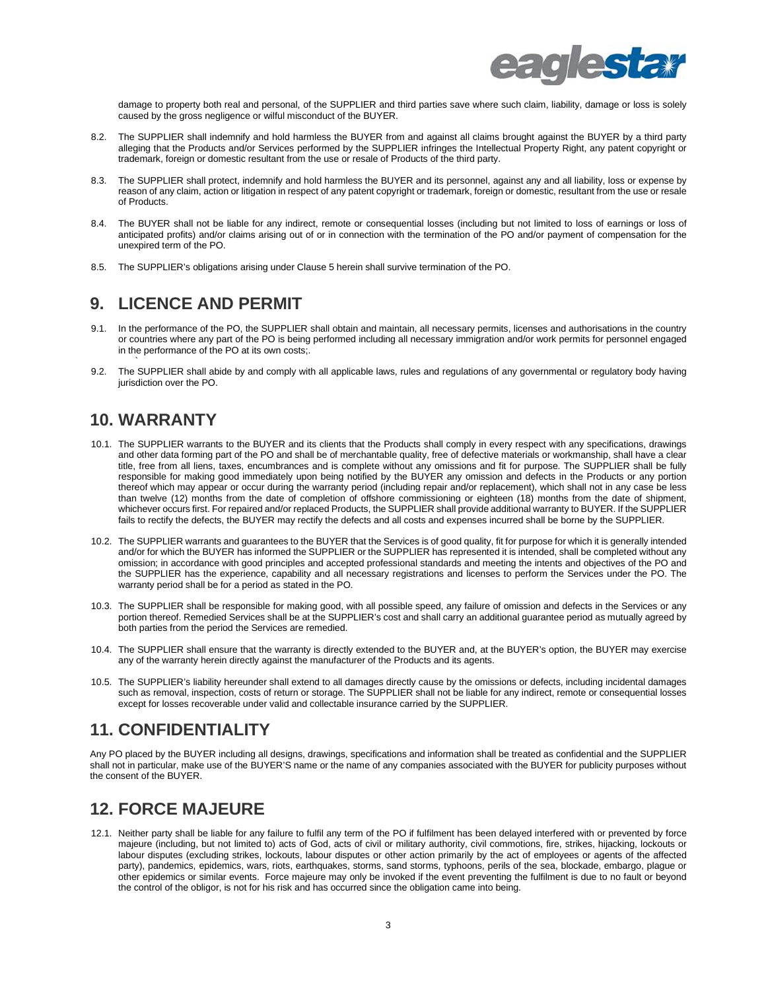

damage to property both real and personal, of the SUPPLIER and third parties save where such claim, liability, damage or loss is solely caused by the gross negligence or wilful misconduct of the BUYER.

- 8.2. The SUPPLIER shall indemnify and hold harmless the BUYER from and against all claims brought against the BUYER by a third party alleging that the Products and/or Services performed by the SUPPLIER infringes the Intellectual Property Right, any patent copyright or trademark, foreign or domestic resultant from the use or resale of Products of the third party.
- 8.3. The SUPPLIER shall protect, indemnify and hold harmless the BUYER and its personnel, against any and all liability, loss or expense by reason of any claim, action or litigation in respect of any patent copyright or trademark, foreign or domestic, resultant from the use or resale of Products.
- 8.4. The BUYER shall not be liable for any indirect, remote or consequential losses (including but not limited to loss of earnings or loss of anticipated profits) and/or claims arising out of or in connection with the termination of the PO and/or payment of compensation for the unexpired term of the PO.
- 8.5. The SUPPLIER's obligations arising under Clause 5 herein shall survive termination of the PO.

## **9. LICENCE AND PERMIT**

- 9.1. In the performance of the PO, the SUPPLIER shall obtain and maintain, all necessary permits, licenses and authorisations in the country or countries where any part of the PO is being performed including all necessary immigration and/or work permits for personnel engaged in the performance of the PO at its own costs;.
- 9.2. The SUPPLIER shall abide by and comply with all applicable laws, rules and regulations of any governmental or regulatory body having jurisdiction over the PO.

### **10. WARRANTY**

`

- 10.1. The SUPPLIER warrants to the BUYER and its clients that the Products shall comply in every respect with any specifications, drawings and other data forming part of the PO and shall be of merchantable quality, free of defective materials or workmanship, shall have a clear title, free from all liens, taxes, encumbrances and is complete without any omissions and fit for purpose. The SUPPLIER shall be fully responsible for making good immediately upon being notified by the BUYER any omission and defects in the Products or any portion thereof which may appear or occur during the warranty period (including repair and/or replacement), which shall not in any case be less than twelve (12) months from the date of completion of offshore commissioning or eighteen (18) months from the date of shipment, whichever occurs first. For repaired and/or replaced Products, the SUPPLIER shall provide additional warranty to BUYER. If the SUPPLIER fails to rectify the defects, the BUYER may rectify the defects and all costs and expenses incurred shall be borne by the SUPPLIER.
- 10.2. The SUPPLIER warrants and guarantees to the BUYER that the Services is of good quality, fit for purpose for which it is generally intended and/or for which the BUYER has informed the SUPPLIER or the SUPPLIER has represented it is intended, shall be completed without any omission; in accordance with good principles and accepted professional standards and meeting the intents and objectives of the PO and the SUPPLIER has the experience, capability and all necessary registrations and licenses to perform the Services under the PO. The warranty period shall be for a period as stated in the PO.
- 10.3. The SUPPLIER shall be responsible for making good, with all possible speed, any failure of omission and defects in the Services or any portion thereof. Remedied Services shall be at the SUPPLIER's cost and shall carry an additional guarantee period as mutually agreed by both parties from the period the Services are remedied.
- 10.4. The SUPPLIER shall ensure that the warranty is directly extended to the BUYER and, at the BUYER's option, the BUYER may exercise any of the warranty herein directly against the manufacturer of the Products and its agents.
- 10.5. The SUPPLIER's liability hereunder shall extend to all damages directly cause by the omissions or defects, including incidental damages such as removal, inspection, costs of return or storage. The SUPPLIER shall not be liable for any indirect, remote or consequential losses except for losses recoverable under valid and collectable insurance carried by the SUPPLIER.

## **11. CONFIDENTIALITY**

Any PO placed by the BUYER including all designs, drawings, specifications and information shall be treated as confidential and the SUPPLIER shall not in particular, make use of the BUYER'S name or the name of any companies associated with the BUYER for publicity purposes without the consent of the BUYER.

### **12. FORCE MAJEURE**

12.1. Neither party shall be liable for any failure to fulfil any term of the PO if fulfilment has been delayed interfered with or prevented by force majeure (including, but not limited to) acts of God, acts of civil or military authority, civil commotions, fire, strikes, hijacking, lockouts or labour disputes (excluding strikes, lockouts, labour disputes or other action primarily by the act of employees or agents of the affected party), pandemics, epidemics, wars, riots, earthquakes, storms, sand storms, typhoons, perils of the sea, blockade, embargo, plague or other epidemics or similar events. Force majeure may only be invoked if the event preventing the fulfilment is due to no fault or beyond the control of the obligor, is not for his risk and has occurred since the obligation came into being.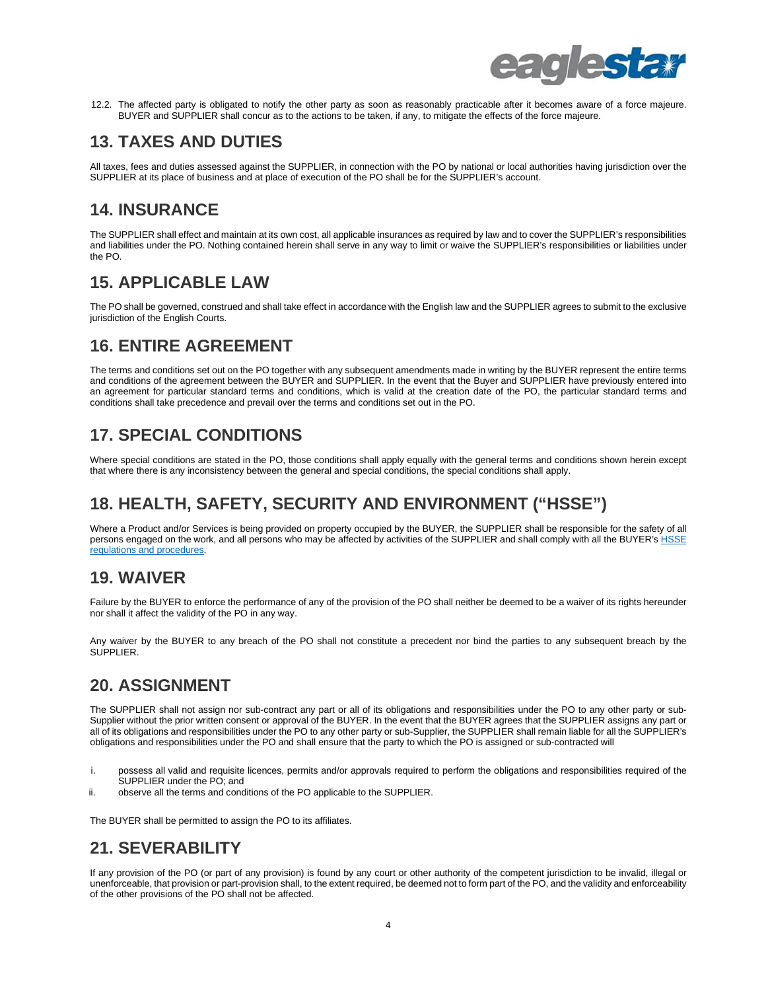

12.2. The affected party is obligated to notify the other party as soon as reasonably practicable after it becomes aware of a force majeure. BUYER and SUPPLIER shall concur as to the actions to be taken, if any, to mitigate the effects of the force majeure.

## **13. TAXES AND DUTIES**

All taxes, fees and duties assessed against the SUPPLIER, in connection with the PO by national or local authorities having jurisdiction over the SUPPLIER at its place of business and at place of execution of the PO shall be for the SUPPLIER's account.

### **14. INSURANCE**

The SUPPLIER shall effect and maintain at its own cost, all applicable insurances as required by law and to cover the SUPPLIER's responsibilities and liabilities under the PO. Nothing contained herein shall serve in any way to limit or waive the SUPPLIER's responsibilities or liabilities under the PO.

#### **15. APPLICABLE LAW**

The PO shall be governed, construed and shall take effect in accordance with the English law and the SUPPLIER agrees to submit to the exclusive jurisdiction of the English Courts.

## **16. ENTIRE AGREEMENT**

The terms and conditions set out on the PO together with any subsequent amendments made in writing by the BUYER represent the entire terms and conditions of the agreement between the BUYER and SUPPLIER. In the event that the Buyer and SUPPLIER have previously entered into an agreement for particular standard terms and conditions, which is valid at the creation date of the PO, the particular standard terms and conditions shall take precedence and prevail over the terms and conditions set out in the PO.

## **17. SPECIAL CONDITIONS**

Where special conditions are stated in the PO, those conditions shall apply equally with the general terms and conditions shown herein except that where there is any inconsistency between the general and special conditions, the special conditions shall apply.

## **18. HEALTH, SAFETY, SECURITY AND ENVIRONMENT ("HSSE")**

Where a Product and/or Services is being provided on property occupied by the BUYER, the SUPPLIER shall be responsible for the safety of all persons engaged on the work, and all persons who may be affected by activities of the SUPPLIER and shall comply with all the BUYER'[s HSSE](https://www.eaglestar.com.my/wp-content/uploads/2021/07/HSQEEn-Policy_2021_Final.pdf)  [regulations and procedures.](https://www.eaglestar.com.my/wp-content/uploads/2021/07/HSQEEn-Policy_2021_Final.pdf)

### **19. WAIVER**

Failure by the BUYER to enforce the performance of any of the provision of the PO shall neither be deemed to be a waiver of its rights hereunder nor shall it affect the validity of the PO in any way.

Any waiver by the BUYER to any breach of the PO shall not constitute a precedent nor bind the parties to any subsequent breach by the SUPPLIER.

## **20. ASSIGNMENT**

The SUPPLIER shall not assign nor sub-contract any part or all of its obligations and responsibilities under the PO to any other party or sub-Supplier without the prior written consent or approval of the BUYER. In the event that the BUYER agrees that the SUPPLIER assigns any part or all of its obligations and responsibilities under the PO to any other party or sub-Supplier, the SUPPLIER shall remain liable for all the SUPPLIER's obligations and responsibilities under the PO and shall ensure that the party to which the PO is assigned or sub-contracted will

- i. possess all valid and requisite licences, permits and/or approvals required to perform the obligations and responsibilities required of the SUPPLIER under the PO; and
- ii. observe all the terms and conditions of the PO applicable to the SUPPLIER.

The BUYER shall be permitted to assign the PO to its affiliates.

## **21. SEVERABILITY**

If any provision of the PO (or part of any provision) is found by any court or other authority of the competent jurisdiction to be invalid, illegal or unenforceable, that provision or part-provision shall, to the extent required, be deemed not to form part of the PO, and the validity and enforceability of the other provisions of the PO shall not be affected.